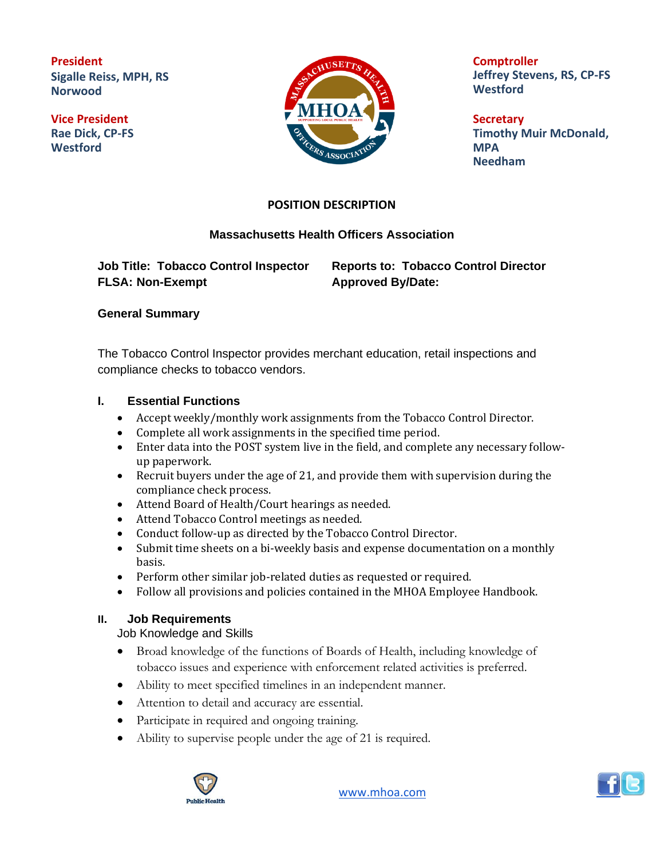**President Sigalle Reiss, MPH, RS Norwood**

**Vice President Rae Dick, CP-FS Westford**



**Comptroller Jeffrey Stevens, RS, CP-FS Westford**

**Secretary Timothy Muir McDonald, MPA Needham**

## **POSITION DESCRIPTION**

### **Massachusetts Health Officers Association**

**FLSA: Non-Exempt Approved By/Date:**

**Job Title: Tobacco Control Inspector Reports to: Tobacco Control Director**

#### **General Summary**

The Tobacco Control Inspector provides merchant education, retail inspections and compliance checks to tobacco vendors.

#### **I. Essential Functions**

- Accept weekly/monthly work assignments from the Tobacco Control Director.
- Complete all work assignments in the specified time period.
- Enter data into the POST system live in the field, and complete any necessary followup paperwork.
- Recruit buyers under the age of 21, and provide them with supervision during the compliance check process.
- Attend Board of Health/Court hearings as needed.
- Attend Tobacco Control meetings as needed.
- Conduct follow-up as directed by the Tobacco Control Director.
- Submit time sheets on a bi-weekly basis and expense documentation on a monthly basis.
- Perform other similar job-related duties as requested or required.
- Follow all provisions and policies contained in the MHOA Employee Handbook.

#### **II. Job Requirements**

Job Knowledge and Skills

- Broad knowledge of the functions of Boards of Health, including knowledge of tobacco issues and experience with enforcement related activities is preferred.
- Ability to meet specified timelines in an independent manner.
- Attention to detail and accuracy are essential.
- Participate in required and ongoing training.
- Ability to supervise people under the age of 21 is required.



[www.mhoa.com](about:blank)